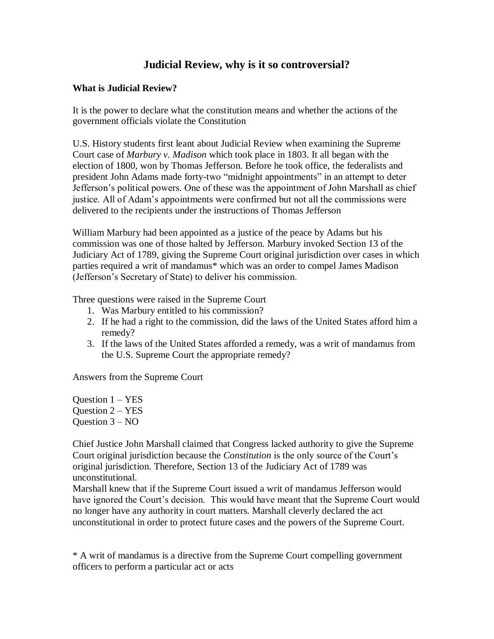## **Judicial Review, why is it so controversial?**

## **What is Judicial Review?**

It is the power to declare what the constitution means and whether the actions of the government officials violate the Constitution

U.S. History students first leant about Judicial Review when examining the Supreme Court case of *Marbury v. Madison* which took place in 1803. It all began with the election of 1800, won by Thomas Jefferson. Before he took office, the federalists and president John Adams made forty-two "midnight appointments" in an attempt to deter Jefferson's political powers. One of these was the appointment of John Marshall as chief justice. All of Adam's appointments were confirmed but not all the commissions were delivered to the recipients under the instructions of Thomas Jefferson

William Marbury had been appointed as a justice of the peace by Adams but his commission was one of those halted by Jefferson. Marbury invoked Section 13 of the Judiciary Act of 1789, giving the Supreme Court original jurisdiction over cases in which parties required a writ of mandamus\* which was an order to compel James Madison (Jefferson's Secretary of State) to deliver his commission.

Three questions were raised in the Supreme Court

- 1. Was Marbury entitled to his commission?
- 2. If he had a right to the commission, did the laws of the United States afford him a remedy?
- 3. If the laws of the United States afforded a remedy, was a writ of mandamus from the U.S. Supreme Court the appropriate remedy?

Answers from the Supreme Court

Ouestion  $1 - YES$ Ouestion  $2 - YES$ Question  $3 - NO$ 

Chief Justice John Marshall claimed that Congress lacked authority to give the Supreme Court original jurisdiction because the *Constitution* is the only source of the Court's original jurisdiction. Therefore, Section 13 of the Judiciary Act of 1789 was unconstitutional.

Marshall knew that if the Supreme Court issued a writ of mandamus Jefferson would have ignored the Court's decision. This would have meant that the Supreme Court would no longer have any authority in court matters. Marshall cleverly declared the act unconstitutional in order to protect future cases and the powers of the Supreme Court.

\* A writ of mandamus is a directive from the Supreme Court compelling government officers to perform a particular act or acts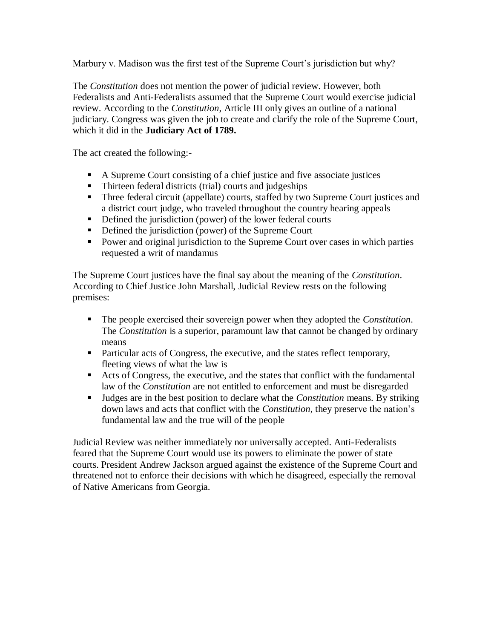Marbury v. Madison was the first test of the Supreme Court's jurisdiction but why?

The *Constitution* does not mention the power of judicial review. However, both Federalists and Anti-Federalists assumed that the Supreme Court would exercise judicial review. According to the *Constitution*, Article III only gives an outline of a national judiciary. Congress was given the job to create and clarify the role of the Supreme Court, which it did in the **Judiciary Act of 1789.**

The act created the following:-

- A Supreme Court consisting of a chief justice and five associate justices
- Thirteen federal districts (trial) courts and judgeships
- **Three federal circuit (appellate) courts, staffed by two Supreme Court justices and** a district court judge, who traveled throughout the country hearing appeals
- Defined the jurisdiction (power) of the lower federal courts
- Defined the jurisdiction (power) of the Supreme Court
- Power and original jurisdiction to the Supreme Court over cases in which parties requested a writ of mandamus

The Supreme Court justices have the final say about the meaning of the *Constitution*. According to Chief Justice John Marshall, Judicial Review rests on the following premises:

- The people exercised their sovereign power when they adopted the *Constitution*. The *Constitution* is a superior, paramount law that cannot be changed by ordinary means
- Particular acts of Congress, the executive, and the states reflect temporary, fleeting views of what the law is
- Acts of Congress, the executive, and the states that conflict with the fundamental law of the *Constitution* are not entitled to enforcement and must be disregarded
- Judges are in the best position to declare what the *Constitution* means. By striking down laws and acts that conflict with the *Constitution*, they preserve the nation's fundamental law and the true will of the people

Judicial Review was neither immediately nor universally accepted. Anti-Federalists feared that the Supreme Court would use its powers to eliminate the power of state courts. President Andrew Jackson argued against the existence of the Supreme Court and threatened not to enforce their decisions with which he disagreed, especially the removal of Native Americans from Georgia.